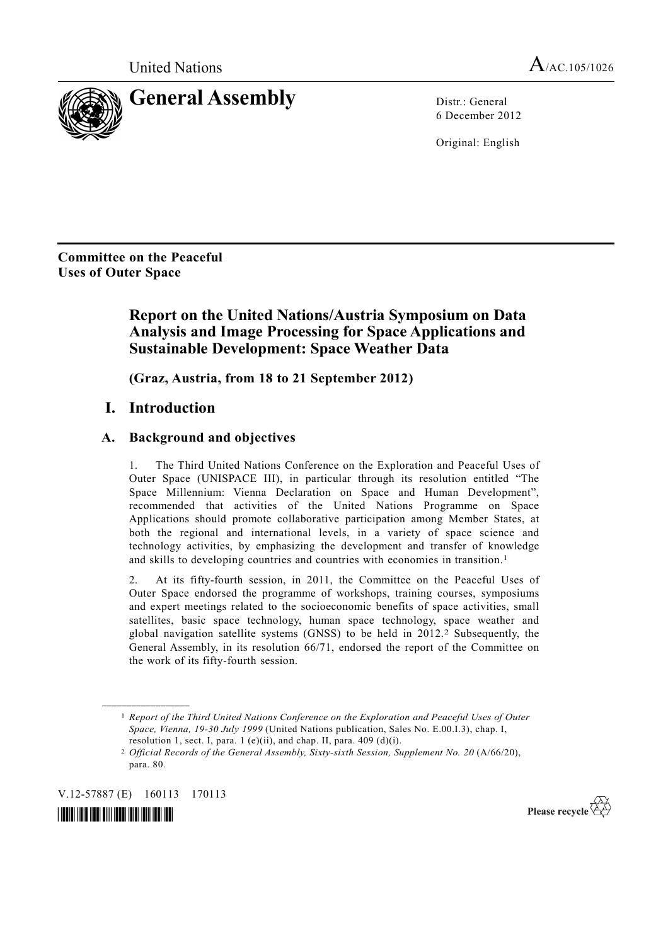

6 December 2012

Original: English

**Committee on the Peaceful Uses of Outer Space** 

# **Report on the United Nations/Austria Symposium on Data Analysis and Image Processing for Space Applications and Sustainable Development: Space Weather Data**

 **(Graz, Austria, from 18 to 21 September 2012)** 

# **I. Introduction**

#### **A. Background and objectives**

1. The Third United Nations Conference on the Exploration and Peaceful Uses of Outer Space (UNISPACE III), in particular through its resolution entitled "The Space Millennium: Vienna Declaration on Space and Human Development", recommended that activities of the United Nations Programme on Space Applications should promote collaborative participation among Member States, at both the regional and international levels, in a variety of space science and technology activities, by emphasizing the development and transfer of knowledge and skills to developing countries and countries with economies in transition.1

2. At its fifty-fourth session, in 2011, the Committee on the Peaceful Uses of Outer Space endorsed the programme of workshops, training courses, symposiums and expert meetings related to the socioeconomic benefits of space activities, small satellites, basic space technology, human space technology, space weather and global navigation satellite systems  $(GNSS)$  to be held in 2012.<sup>2</sup> Subsequently, the General Assembly, in its resolution 66/71, endorsed the report of the Committee on the work of its fifty-fourth session.

V.12-57887 (E) 160113 170113

**\_\_\_\_\_\_\_\_\_\_\_\_\_\_\_\_\_\_** 



Please recycle  $\overleftrightarrow{C}$ 

<sup>1</sup> *Report of the Third United Nations Conference on the Exploration and Peaceful Uses of Outer Space, Vienna, 19-30 July 1999* (United Nations publication, Sales No. E.00.I.3), chap. I, resolution 1, sect. I, para. 1 (e)(ii), and chap. II, para.  $409$  (d)(i).

<sup>2</sup> *Official Records of the General Assembly, Sixty-sixth Session, Supplement No. 20* (A/66/20), para. 80.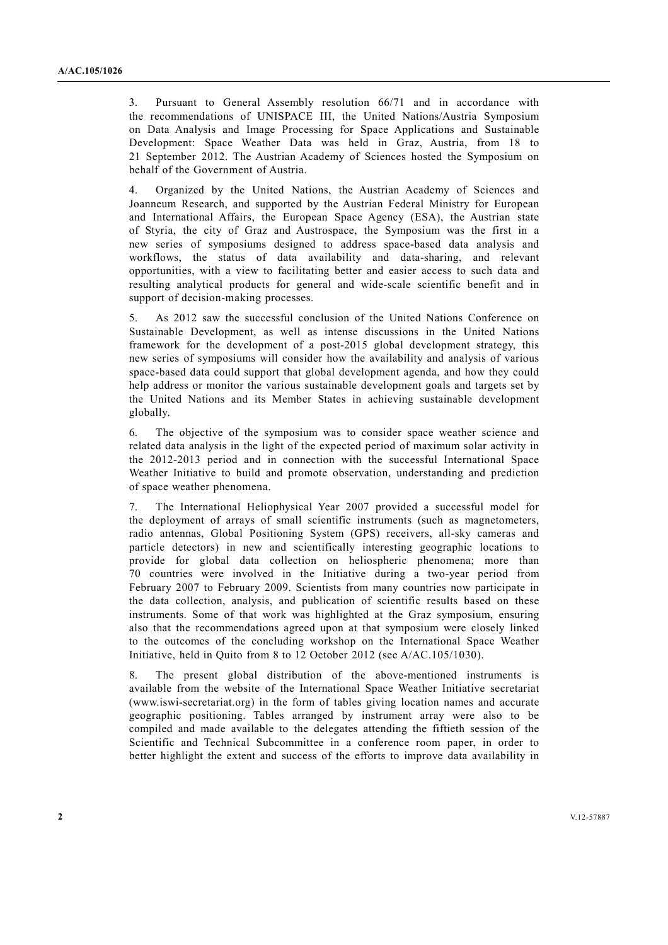3. Pursuant to General Assembly resolution 66/71 and in accordance with the recommendations of UNISPACE III, the United Nations/Austria Symposium on Data Analysis and Image Processing for Space Applications and Sustainable Development: Space Weather Data was held in Graz, Austria, from 18 to 21 September 2012. The Austrian Academy of Sciences hosted the Symposium on behalf of the Government of Austria.

4. Organized by the United Nations, the Austrian Academy of Sciences and Joanneum Research, and supported by the Austrian Federal Ministry for European and International Affairs, the European Space Agency (ESA), the Austrian state of Styria, the city of Graz and Austrospace, the Symposium was the first in a new series of symposiums designed to address space-based data analysis and workflows, the status of data availability and data-sharing, and relevant opportunities, with a view to facilitating better and easier access to such data and resulting analytical products for general and wide-scale scientific benefit and in support of decision-making processes.

5. As 2012 saw the successful conclusion of the United Nations Conference on Sustainable Development, as well as intense discussions in the United Nations framework for the development of a post-2015 global development strategy, this new series of symposiums will consider how the availability and analysis of various space-based data could support that global development agenda, and how they could help address or monitor the various sustainable development goals and targets set by the United Nations and its Member States in achieving sustainable development globally.

6. The objective of the symposium was to consider space weather science and related data analysis in the light of the expected period of maximum solar activity in the 2012-2013 period and in connection with the successful International Space Weather Initiative to build and promote observation, understanding and prediction of space weather phenomena.

7. The International Heliophysical Year 2007 provided a successful model for the deployment of arrays of small scientific instruments (such as magnetometers, radio antennas, Global Positioning System (GPS) receivers, all-sky cameras and particle detectors) in new and scientifically interesting geographic locations to provide for global data collection on heliospheric phenomena; more than 70 countries were involved in the Initiative during a two-year period from February 2007 to February 2009. Scientists from many countries now participate in the data collection, analysis, and publication of scientific results based on these instruments. Some of that work was highlighted at the Graz symposium, ensuring also that the recommendations agreed upon at that symposium were closely linked to the outcomes of the concluding workshop on the International Space Weather Initiative, held in Quito from 8 to 12 October 2012 (see A/AC.105/1030).

8. The present global distribution of the above-mentioned instruments is available from the website of the International Space Weather Initiative secretariat (www.iswi-secretariat.org) in the form of tables giving location names and accurate geographic positioning. Tables arranged by instrument array were also to be compiled and made available to the delegates attending the fiftieth session of the Scientific and Technical Subcommittee in a conference room paper, in order to better highlight the extent and success of the efforts to improve data availability in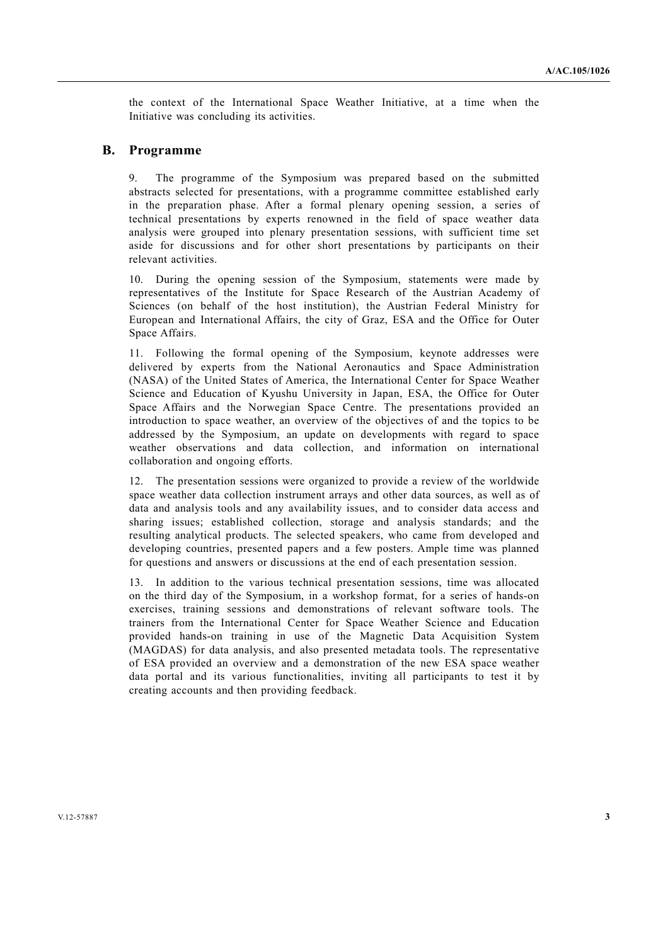the context of the International Space Weather Initiative, at a time when the Initiative was concluding its activities.

#### **B. Programme**

9. The programme of the Symposium was prepared based on the submitted abstracts selected for presentations, with a programme committee established early in the preparation phase. After a formal plenary opening session, a series of technical presentations by experts renowned in the field of space weather data analysis were grouped into plenary presentation sessions, with sufficient time set aside for discussions and for other short presentations by participants on their relevant activities.

10. During the opening session of the Symposium, statements were made by representatives of the Institute for Space Research of the Austrian Academy of Sciences (on behalf of the host institution), the Austrian Federal Ministry for European and International Affairs, the city of Graz, ESA and the Office for Outer Space Affairs.

11. Following the formal opening of the Symposium, keynote addresses were delivered by experts from the National Aeronautics and Space Administration (NASA) of the United States of America, the International Center for Space Weather Science and Education of Kyushu University in Japan, ESA, the Office for Outer Space Affairs and the Norwegian Space Centre. The presentations provided an introduction to space weather, an overview of the objectives of and the topics to be addressed by the Symposium, an update on developments with regard to space weather observations and data collection, and information on international collaboration and ongoing efforts.

12. The presentation sessions were organized to provide a review of the worldwide space weather data collection instrument arrays and other data sources, as well as of data and analysis tools and any availability issues, and to consider data access and sharing issues; established collection, storage and analysis standards; and the resulting analytical products. The selected speakers, who came from developed and developing countries, presented papers and a few posters. Ample time was planned for questions and answers or discussions at the end of each presentation session.

13. In addition to the various technical presentation sessions, time was allocated on the third day of the Symposium, in a workshop format, for a series of hands-on exercises, training sessions and demonstrations of relevant software tools. The trainers from the International Center for Space Weather Science and Education provided hands-on training in use of the Magnetic Data Acquisition System (MAGDAS) for data analysis, and also presented metadata tools. The representative of ESA provided an overview and a demonstration of the new ESA space weather data portal and its various functionalities, inviting all participants to test it by creating accounts and then providing feedback.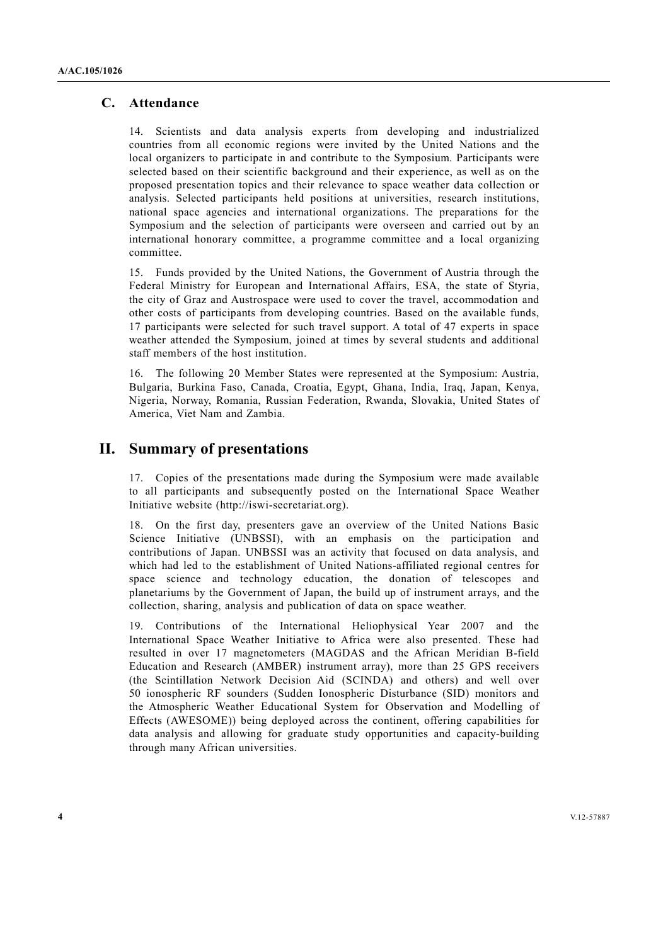#### **C. Attendance**

14. Scientists and data analysis experts from developing and industrialized countries from all economic regions were invited by the United Nations and the local organizers to participate in and contribute to the Symposium. Participants were selected based on their scientific background and their experience, as well as on the proposed presentation topics and their relevance to space weather data collection or analysis. Selected participants held positions at universities, research institutions, national space agencies and international organizations. The preparations for the Symposium and the selection of participants were overseen and carried out by an international honorary committee, a programme committee and a local organizing committee.

15. Funds provided by the United Nations, the Government of Austria through the Federal Ministry for European and International Affairs, ESA, the state of Styria, the city of Graz and Austrospace were used to cover the travel, accommodation and other costs of participants from developing countries. Based on the available funds, 17 participants were selected for such travel support. A total of 47 experts in space weather attended the Symposium, joined at times by several students and additional staff members of the host institution.

16. The following 20 Member States were represented at the Symposium: Austria, Bulgaria, Burkina Faso, Canada, Croatia, Egypt, Ghana, India, Iraq, Japan, Kenya, Nigeria, Norway, Romania, Russian Federation, Rwanda, Slovakia, United States of America, Viet Nam and Zambia.

## **II. Summary of presentations**

17. Copies of the presentations made during the Symposium were made available to all participants and subsequently posted on the International Space Weather Initiative website (http://iswi-secretariat.org).

18. On the first day, presenters gave an overview of the United Nations Basic Science Initiative (UNBSSI), with an emphasis on the participation and contributions of Japan. UNBSSI was an activity that focused on data analysis, and which had led to the establishment of United Nations-affiliated regional centres for space science and technology education, the donation of telescopes and planetariums by the Government of Japan, the build up of instrument arrays, and the collection, sharing, analysis and publication of data on space weather.

19. Contributions of the International Heliophysical Year 2007 and the International Space Weather Initiative to Africa were also presented. These had resulted in over 17 magnetometers (MAGDAS and the African Meridian B-field Education and Research (AMBER) instrument array), more than 25 GPS receivers (the Scintillation Network Decision Aid (SCINDA) and others) and well over 50 ionospheric RF sounders (Sudden Ionospheric Disturbance (SID) monitors and the Atmospheric Weather Educational System for Observation and Modelling of Effects (AWESOME)) being deployed across the continent, offering capabilities for data analysis and allowing for graduate study opportunities and capacity-building through many African universities.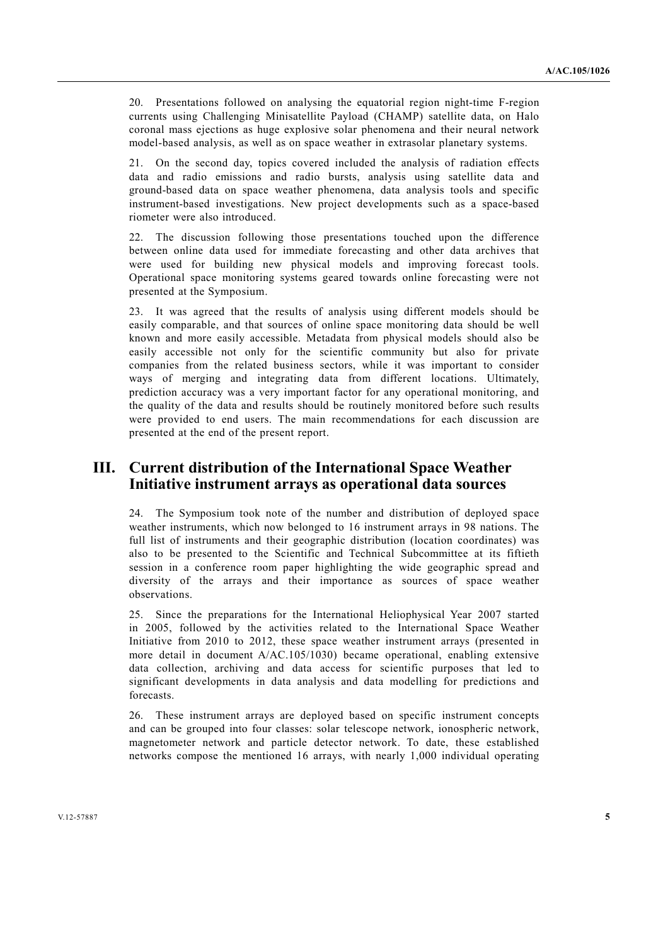20. Presentations followed on analysing the equatorial region night-time F-region currents using Challenging Minisatellite Payload (CHAMP) satellite data, on Halo coronal mass ejections as huge explosive solar phenomena and their neural network model-based analysis, as well as on space weather in extrasolar planetary systems.

21. On the second day, topics covered included the analysis of radiation effects data and radio emissions and radio bursts, analysis using satellite data and ground-based data on space weather phenomena, data analysis tools and specific instrument-based investigations. New project developments such as a space-based riometer were also introduced.

22. The discussion following those presentations touched upon the difference between online data used for immediate forecasting and other data archives that were used for building new physical models and improving forecast tools. Operational space monitoring systems geared towards online forecasting were not presented at the Symposium.

23. It was agreed that the results of analysis using different models should be easily comparable, and that sources of online space monitoring data should be well known and more easily accessible. Metadata from physical models should also be easily accessible not only for the scientific community but also for private companies from the related business sectors, while it was important to consider ways of merging and integrating data from different locations. Ultimately, prediction accuracy was a very important factor for any operational monitoring, and the quality of the data and results should be routinely monitored before such results were provided to end users. The main recommendations for each discussion are presented at the end of the present report.

# **III. Current distribution of the International Space Weather Initiative instrument arrays as operational data sources**

24. The Symposium took note of the number and distribution of deployed space weather instruments, which now belonged to 16 instrument arrays in 98 nations. The full list of instruments and their geographic distribution (location coordinates) was also to be presented to the Scientific and Technical Subcommittee at its fiftieth session in a conference room paper highlighting the wide geographic spread and diversity of the arrays and their importance as sources of space weather observations.

25. Since the preparations for the International Heliophysical Year 2007 started in 2005, followed by the activities related to the International Space Weather Initiative from 2010 to 2012, these space weather instrument arrays (presented in more detail in document A/AC.105/1030) became operational, enabling extensive data collection, archiving and data access for scientific purposes that led to significant developments in data analysis and data modelling for predictions and forecasts.

26. These instrument arrays are deployed based on specific instrument concepts and can be grouped into four classes: solar telescope network, ionospheric network, magnetometer network and particle detector network. To date, these established networks compose the mentioned 16 arrays, with nearly 1,000 individual operating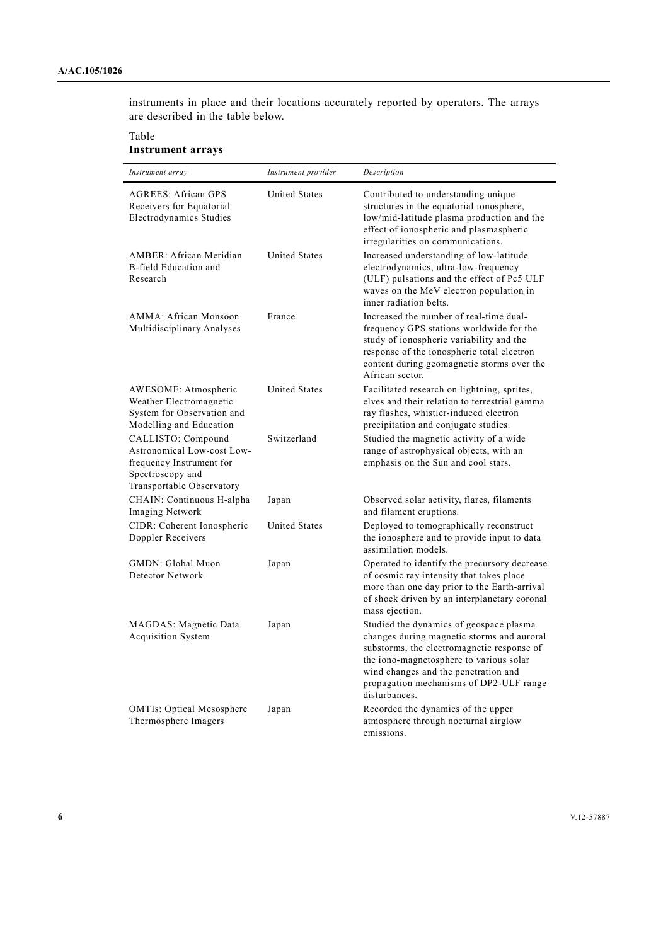instruments in place and their locations accurately reported by operators. The arrays are described in the table below.

Table

# **Instrument arrays**

| Instrument array                                                                                                              | Instrument provider  | Description                                                                                                                                                                                                                                                                        |
|-------------------------------------------------------------------------------------------------------------------------------|----------------------|------------------------------------------------------------------------------------------------------------------------------------------------------------------------------------------------------------------------------------------------------------------------------------|
| <b>AGREES: African GPS</b><br>Receivers for Equatorial<br>Electrodynamics Studies                                             | <b>United States</b> | Contributed to understanding unique<br>structures in the equatorial ionosphere,<br>low/mid-latitude plasma production and the<br>effect of ionospheric and plasmaspheric<br>irregularities on communications.                                                                      |
| AMBER: African Meridian<br>B-field Education and<br>Research                                                                  | <b>United States</b> | Increased understanding of low-latitude<br>electrodynamics, ultra-low-frequency<br>(ULF) pulsations and the effect of Pc5 ULF<br>waves on the MeV electron population in<br>inner radiation belts.                                                                                 |
| AMMA: African Monsoon<br>Multidisciplinary Analyses                                                                           | France               | Increased the number of real-time dual-<br>frequency GPS stations worldwide for the<br>study of ionospheric variability and the<br>response of the ionospheric total electron<br>content during geomagnetic storms over the<br>African sector.                                     |
| AWESOME: Atmospheric<br>Weather Electromagnetic<br>System for Observation and<br>Modelling and Education                      | <b>United States</b> | Facilitated research on lightning, sprites,<br>elves and their relation to terrestrial gamma<br>ray flashes, whistler-induced electron<br>precipitation and conjugate studies.                                                                                                     |
| CALLISTO: Compound<br>Astronomical Low-cost Low-<br>frequency Instrument for<br>Spectroscopy and<br>Transportable Observatory | Switzerland          | Studied the magnetic activity of a wide<br>range of astrophysical objects, with an<br>emphasis on the Sun and cool stars.                                                                                                                                                          |
| CHAIN: Continuous H-alpha<br>Imaging Network                                                                                  | Japan                | Observed solar activity, flares, filaments<br>and filament eruptions.                                                                                                                                                                                                              |
| CIDR: Coherent Ionospheric<br>Doppler Receivers                                                                               | <b>United States</b> | Deployed to tomographically reconstruct<br>the ionosphere and to provide input to data<br>assimilation models.                                                                                                                                                                     |
| GMDN: Global Muon<br>Detector Network                                                                                         | Japan                | Operated to identify the precursory decrease<br>of cosmic ray intensity that takes place<br>more than one day prior to the Earth-arrival<br>of shock driven by an interplanetary coronal<br>mass ejection.                                                                         |
| MAGDAS: Magnetic Data<br><b>Acquisition System</b>                                                                            | Japan                | Studied the dynamics of geospace plasma<br>changes during magnetic storms and auroral<br>substorms, the electromagnetic response of<br>the iono-magnetosphere to various solar<br>wind changes and the penetration and<br>propagation mechanisms of DP2-ULF range<br>disturbances. |
| <b>OMTIs: Optical Mesosphere</b><br>Thermosphere Imagers                                                                      | Japan                | Recorded the dynamics of the upper<br>atmosphere through nocturnal airglow<br>emissions.                                                                                                                                                                                           |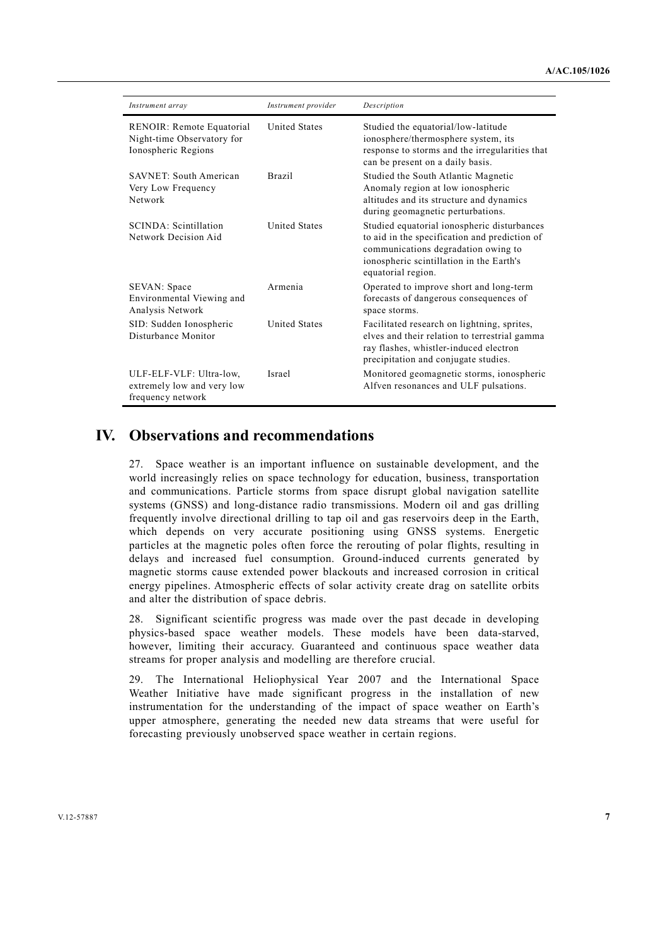| Instrument array                                                               | Instrument provider  | Description                                                                                                                                                                                           |
|--------------------------------------------------------------------------------|----------------------|-------------------------------------------------------------------------------------------------------------------------------------------------------------------------------------------------------|
| RENOIR: Remote Equatorial<br>Night-time Observatory for<br>Ionospheric Regions | <b>United States</b> | Studied the equatorial/low-latitude<br>ionosphere/thermosphere system, its<br>response to storms and the irregularities that<br>can be present on a daily basis.                                      |
| <b>SAVNET: South American</b><br>Very Low Frequency<br>Network                 | <b>Brazil</b>        | Studied the South Atlantic Magnetic<br>Anomaly region at low ionospheric<br>altitudes and its structure and dynamics<br>during geomagnetic perturbations.                                             |
| SCINDA: Scintillation<br>Network Decision Aid                                  | <b>United States</b> | Studied equatorial ionospheric disturbances<br>to aid in the specification and prediction of<br>communications degradation owing to<br>ionospheric scintillation in the Earth's<br>equatorial region. |
| SEVAN: Space<br>Environmental Viewing and<br>Analysis Network                  | Armenia              | Operated to improve short and long-term<br>forecasts of dangerous consequences of<br>space storms.                                                                                                    |
| SID: Sudden Ionospheric<br>Disturbance Monitor                                 | <b>United States</b> | Facilitated research on lightning, sprites,<br>elves and their relation to terrestrial gamma<br>ray flashes, whistler-induced electron<br>precipitation and conjugate studies.                        |
| ULF-ELF-VLF: Ultra-low,<br>extremely low and very low<br>frequency network     | Israel               | Monitored geomagnetic storms, ionospheric<br>Alfven resonances and ULF pulsations.                                                                                                                    |

## **IV. Observations and recommendations**

27. Space weather is an important influence on sustainable development, and the world increasingly relies on space technology for education, business, transportation and communications. Particle storms from space disrupt global navigation satellite systems (GNSS) and long-distance radio transmissions. Modern oil and gas drilling frequently involve directional drilling to tap oil and gas reservoirs deep in the Earth, which depends on very accurate positioning using GNSS systems. Energetic particles at the magnetic poles often force the rerouting of polar flights, resulting in delays and increased fuel consumption. Ground-induced currents generated by magnetic storms cause extended power blackouts and increased corrosion in critical energy pipelines. Atmospheric effects of solar activity create drag on satellite orbits and alter the distribution of space debris.

28. Significant scientific progress was made over the past decade in developing physics-based space weather models. These models have been data-starved, however, limiting their accuracy. Guaranteed and continuous space weather data streams for proper analysis and modelling are therefore crucial.

29. The International Heliophysical Year 2007 and the International Space Weather Initiative have made significant progress in the installation of new instrumentation for the understanding of the impact of space weather on Earth's upper atmosphere, generating the needed new data streams that were useful for forecasting previously unobserved space weather in certain regions.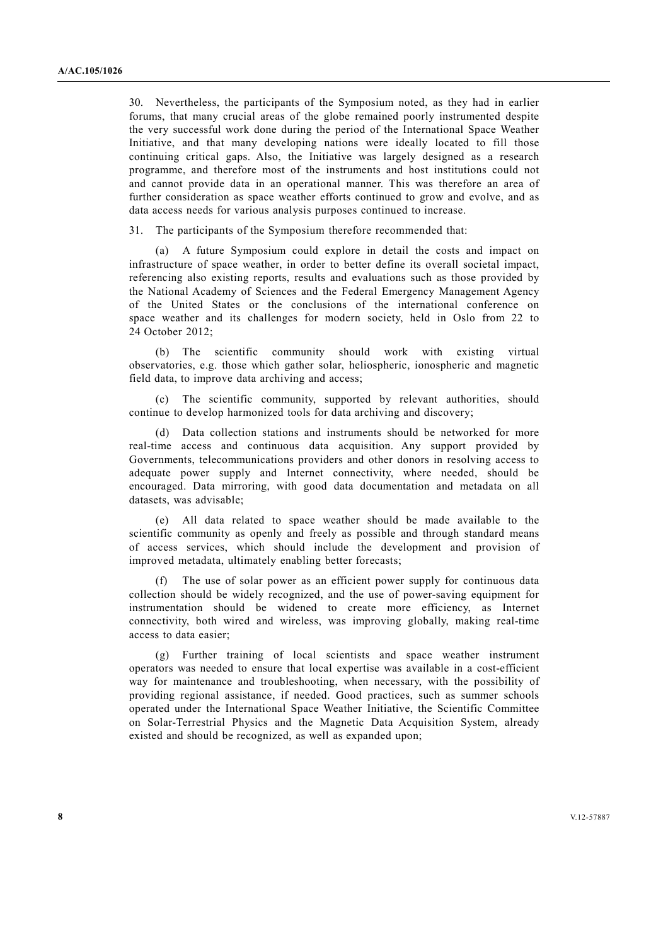30. Nevertheless, the participants of the Symposium noted, as they had in earlier forums, that many crucial areas of the globe remained poorly instrumented despite the very successful work done during the period of the International Space Weather Initiative, and that many developing nations were ideally located to fill those continuing critical gaps. Also, the Initiative was largely designed as a research programme, and therefore most of the instruments and host institutions could not and cannot provide data in an operational manner. This was therefore an area of further consideration as space weather efforts continued to grow and evolve, and as data access needs for various analysis purposes continued to increase.

31. The participants of the Symposium therefore recommended that:

 (a) A future Symposium could explore in detail the costs and impact on infrastructure of space weather, in order to better define its overall societal impact, referencing also existing reports, results and evaluations such as those provided by the National Academy of Sciences and the Federal Emergency Management Agency of the United States or the conclusions of the international conference on space weather and its challenges for modern society, held in Oslo from 22 to 24 October 2012<sup>-</sup>

 (b) The scientific community should work with existing virtual observatories, e.g. those which gather solar, heliospheric, ionospheric and magnetic field data, to improve data archiving and access;

 (c) The scientific community, supported by relevant authorities, should continue to develop harmonized tools for data archiving and discovery;

 (d) Data collection stations and instruments should be networked for more real-time access and continuous data acquisition. Any support provided by Governments, telecommunications providers and other donors in resolving access to adequate power supply and Internet connectivity, where needed, should be encouraged. Data mirroring, with good data documentation and metadata on all datasets, was advisable;

 (e) All data related to space weather should be made available to the scientific community as openly and freely as possible and through standard means of access services, which should include the development and provision of improved metadata, ultimately enabling better forecasts;

 (f) The use of solar power as an efficient power supply for continuous data collection should be widely recognized, and the use of power-saving equipment for instrumentation should be widened to create more efficiency, as Internet connectivity, both wired and wireless, was improving globally, making real-time access to data easier;

 (g) Further training of local scientists and space weather instrument operators was needed to ensure that local expertise was available in a cost-efficient way for maintenance and troubleshooting, when necessary, with the possibility of providing regional assistance, if needed. Good practices, such as summer schools operated under the International Space Weather Initiative, the Scientific Committee on Solar-Terrestrial Physics and the Magnetic Data Acquisition System, already existed and should be recognized, as well as expanded upon;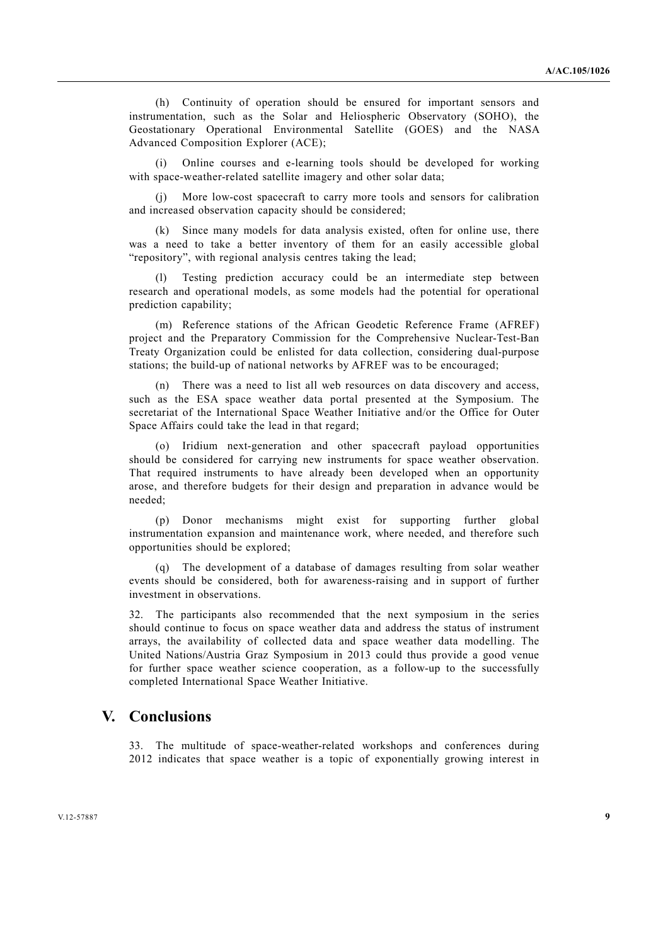(h) Continuity of operation should be ensured for important sensors and instrumentation, such as the Solar and Heliospheric Observatory (SOHO), the Geostationary Operational Environmental Satellite (GOES) and the NASA Advanced Composition Explorer (ACE);

 (i) Online courses and e-learning tools should be developed for working with space-weather-related satellite imagery and other solar data;

More low-cost spacecraft to carry more tools and sensors for calibration and increased observation capacity should be considered;

 (k) Since many models for data analysis existed, often for online use, there was a need to take a better inventory of them for an easily accessible global "repository", with regional analysis centres taking the lead;

 (l) Testing prediction accuracy could be an intermediate step between research and operational models, as some models had the potential for operational prediction capability;

 (m) Reference stations of the African Geodetic Reference Frame (AFREF) project and the Preparatory Commission for the Comprehensive Nuclear-Test-Ban Treaty Organization could be enlisted for data collection, considering dual-purpose stations; the build-up of national networks by AFREF was to be encouraged;

 (n) There was a need to list all web resources on data discovery and access, such as the ESA space weather data portal presented at the Symposium. The secretariat of the International Space Weather Initiative and/or the Office for Outer Space Affairs could take the lead in that regard;

 (o) Iridium next-generation and other spacecraft payload opportunities should be considered for carrying new instruments for space weather observation. That required instruments to have already been developed when an opportunity arose, and therefore budgets for their design and preparation in advance would be needed;

 (p) Donor mechanisms might exist for supporting further global instrumentation expansion and maintenance work, where needed, and therefore such opportunities should be explored;

 (q) The development of a database of damages resulting from solar weather events should be considered, both for awareness-raising and in support of further investment in observations.

32. The participants also recommended that the next symposium in the series should continue to focus on space weather data and address the status of instrument arrays, the availability of collected data and space weather data modelling. The United Nations/Austria Graz Symposium in 2013 could thus provide a good venue for further space weather science cooperation, as a follow-up to the successfully completed International Space Weather Initiative.

#### **V. Conclusions**

33. The multitude of space-weather-related workshops and conferences during 2012 indicates that space weather is a topic of exponentially growing interest in